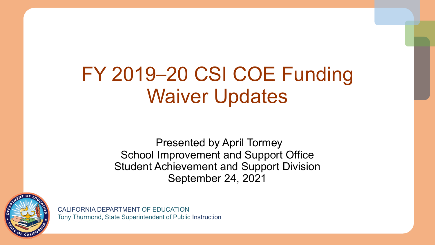# FY 2019–20 CSI COE Funding Waiver Updates

Presented by April Tormey School Improvement and Support Office Student Achievement and Support Division September 24, 2021



CALIFORNIA DEPARTMENT OF EDUCATION Tony Thurmond, State Superintendent of Public Instruction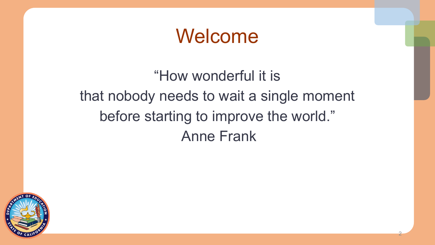## Welcome

### "How wonderful it is that nobody needs to wait a single moment before starting to improve the world." Anne Frank

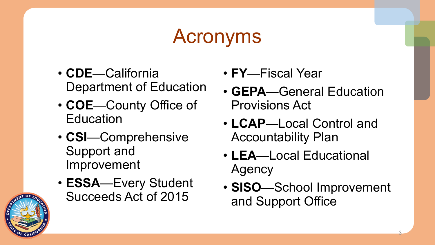# Acronyms

- **CDE**—California Department of Education
- **COE**—County Office of **Education**
- **CSI**—Comprehensive Support and Improvement
- **ESSA**—Every Student Succeeds Act of 2015
- **FY**—Fiscal Year
- **GEPA**—General Education Provisions Act
- **LCAP**—Local Control and Accountability Plan
- **LEA**—Local Educational Agency
- **SISO**—School Improvement and Support Office

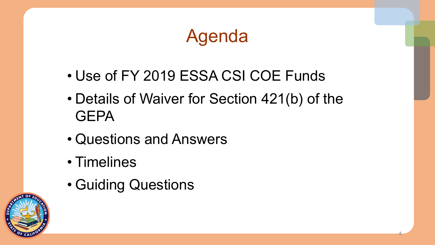## Agenda

- Use of FY 2019 ESSA CSI COE Funds
- Details of Waiver for Section 421(b) of the **GEPA**

- Questions and Answers
- Timelines
- Guiding Questions

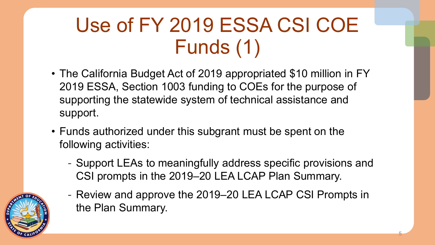# Use of FY 2019 ESSA CSI COE Funds (1)

- The California Budget Act of 2019 appropriated \$10 million in FY 2019 ESSA, Section 1003 funding to COEs for the purpose of supporting the statewide system of technical assistance and support.
- Funds authorized under this subgrant must be spent on the following activities:
	- Support LEAs to meaningfully address specific provisions and CSI prompts in the 2019–20 LEA LCAP Plan Summary.
	- Review and approve the 2019–20 LEA LCAP CSI Prompts in the Plan Summary.

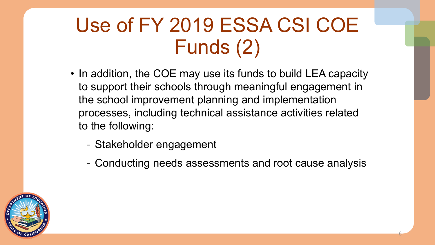# Use of FY 2019 ESSA CSI COE Funds (2)

- In addition, the COE may use its funds to build LEA capacity to support their schools through meaningful engagement in the school improvement planning and implementation processes, including technical assistance activities related to the following:
	- Stakeholder engagement
	- Conducting needs assessments and root cause analysis

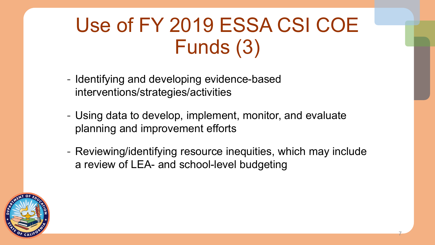# Use of FY 2019 ESSA CSI COE Funds (3)

- Identifying and developing evidence-based interventions/strategies/activities
- Using data to develop, implement, monitor, and evaluate planning and improvement efforts
- Reviewing/identifying resource inequities, which may include a review of LEA- and school-level budgeting

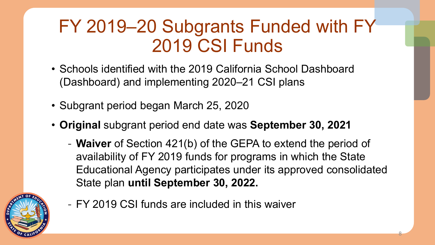### FY 2019–20 Subgrants Funded with FY 2019 CSI Funds

- Schools identified with the 2019 California School Dashboard (Dashboard) and implementing 2020–21 CSI plans
- Subgrant period began March 25, 2020
- **Original** subgrant period end date was **September 30, 2021**
	- **Waiver** of Section 421(b) of the GEPA to extend the period of availability of FY 2019 funds for programs in which the State Educational Agency participates under its approved consolidated State plan **until September 30, 2022.**

8



- FY 2019 CSI funds are included in this waiver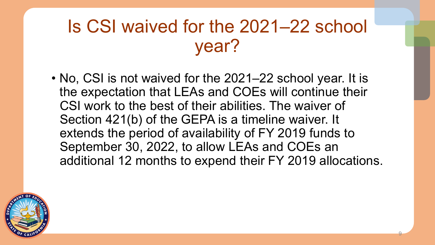### Is CSI waived for the 2021–22 school year?

• No, CSI is not waived for the 2021–22 school year. It is the expectation that LEAs and COEs will continue their CSI work to the best of their abilities. The waiver of Section 421(b) of the GEPA is a timeline waiver. It extends the period of availability of FY 2019 funds to September 30, 2022, to allow LEAs and COEs an additional 12 months to expend their FY 2019 allocations.

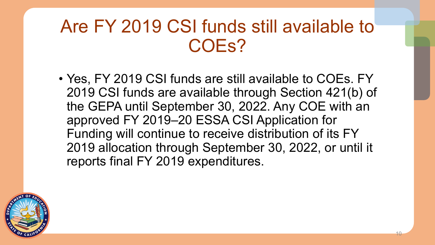### Are FY 2019 CSI funds still available to COEs?

• Yes, FY 2019 CSI funds are still available to COEs. FY 2019 CSI funds are available through Section 421(b) of the GEPA until September 30, 2022. Any COE with an approved FY 2019–20 ESSA CSI Application for Funding will continue to receive distribution of its FY 2019 allocation through September 30, 2022, or until it reports final FY 2019 expenditures.

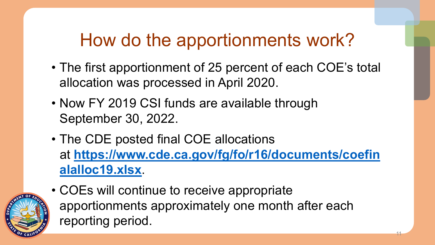## How do the apportionments work?

- The first apportionment of 25 percent of each COE's total allocation was processed in April 2020.
- Now FY 2019 CSI funds are available through September 30, 2022.
- The CDE posted final COE allocations at **[https://www.cde.ca.gov/fg/fo/r16/documents/coefin](https://www.cde.ca.gov/fg/fo/r16/documents/coefinalalloc19.xlsx) alalloc19.xlsx**.

11



• COEs will continue to receive appropriate apportionments approximately one month after each reporting period.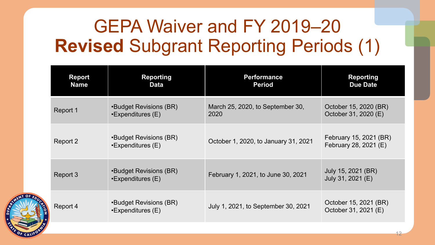## GEPA Waiver and FY 2019–20 **Revised** Subgrant Reporting Periods (1)

| <b>Report</b><br><b>Name</b> | <b>Reporting</b><br><b>Data</b>                    | <b>Performance</b><br><b>Period</b>      | <b>Reporting</b><br><b>Due Date</b>             |
|------------------------------|----------------------------------------------------|------------------------------------------|-------------------------------------------------|
| Report 1                     | •Budget Revisions (BR)<br>$\cdot$ Expenditures (E) | March 25, 2020, to September 30,<br>2020 | October 15, 2020 (BR)<br>October 31, 2020 (E)   |
| Report 2                     | •Budget Revisions (BR)<br>•Expenditures (E)        | October 1, 2020, to January 31, 2021     | February 15, 2021 (BR)<br>February 28, 2021 (E) |
| Report 3                     | •Budget Revisions (BR)<br>$\cdot$ Expenditures (E) | February 1, 2021, to June 30, 2021       | July 15, 2021 (BR)<br>July 31, 2021 (E)         |
| Report 4                     | •Budget Revisions (BR)<br>$\cdot$ Expenditures (E) | July 1, 2021, to September 30, 2021      | October 15, 2021 (BR)<br>October 31, 2021 (E)   |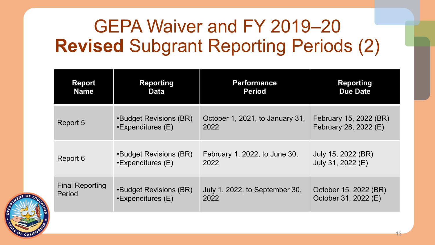## GEPA Waiver and FY 2019–20 **Revised** Subgrant Reporting Periods (2)

| <b>Report</b>          | <b>Reporting</b>         | <b>Performance</b>              | <b>Reporting</b>       |
|------------------------|--------------------------|---------------------------------|------------------------|
| <b>Name</b>            | <b>Data</b>              | <b>Period</b>                   | <b>Due Date</b>        |
| Report 5               | •Budget Revisions (BR)   | October 1, 2021, to January 31, | February 15, 2022 (BR) |
|                        | $\cdot$ Expenditures (E) | 2022                            | February 28, 2022 (E)  |
| Report 6               | •Budget Revisions (BR)   | February 1, 2022, to June 30,   | July 15, 2022 (BR)     |
|                        | $\cdot$ Expenditures (E) | 2022                            | July 31, 2022 (E)      |
| <b>Final Reporting</b> | •Budget Revisions (BR)   | July 1, 2022, to September 30,  | October 15, 2022 (BR)  |
| Period                 | •Expenditures (E)        | 2022                            | October 31, 2022 (E)   |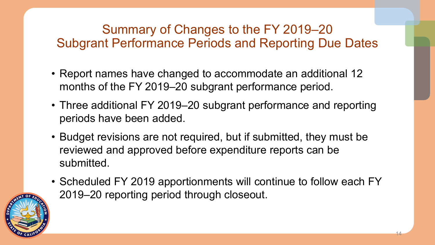#### Summary of Changes to the FY 2019–20 Subgrant Performance Periods and Reporting Due Dates

- Report names have changed to accommodate an additional 12 months of the FY 2019–20 subgrant performance period.
- Three additional FY 2019–20 subgrant performance and reporting periods have been added.
- Budget revisions are not required, but if submitted, they must be reviewed and approved before expenditure reports can be submitted.
- Scheduled FY 2019 apportionments will continue to follow each FY 2019–20 reporting period through closeout.

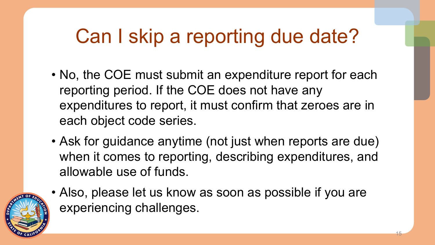# Can I skip a reporting due date?

- No, the COE must submit an expenditure report for each reporting period. If the COE does not have any expenditures to report, it must confirm that zeroes are in each object code series.
- Ask for guidance anytime (not just when reports are due) when it comes to reporting, describing expenditures, and allowable use of funds.



• Also, please let us know as soon as possible if you are experiencing challenges.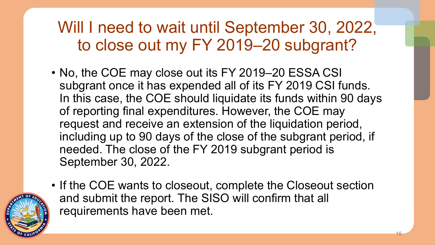Will I need to wait until September 30, 2022, to close out my FY 2019–20 subgrant?

• No, the COE may close out its FY 2019–20 ESSA CSI subgrant once it has expended all of its FY 2019 CSI funds. In this case, the COE should liquidate its funds within 90 days of reporting final expenditures. However, the COE may request and receive an extension of the liquidation period, including up to 90 days of the close of the subgrant period, if needed. The close of the FY 2019 subgrant period is September 30, 2022.



• If the COE wants to closeout, complete the Closeout section and submit the report. The SISO will confirm that all requirements have been met.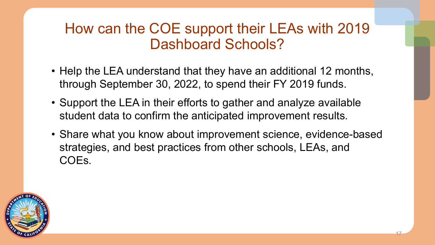#### How can the COE support their LEAs with 2019 Dashboard Schools?

- Help the LEA understand that they have an additional 12 months, through September 30, 2022, to spend their FY 2019 funds.
- Support the LEA in their efforts to gather and analyze available student data to confirm the anticipated improvement results.
- Share what you know about improvement science, evidence-based strategies, and best practices from other schools, LEAs, and COEs.

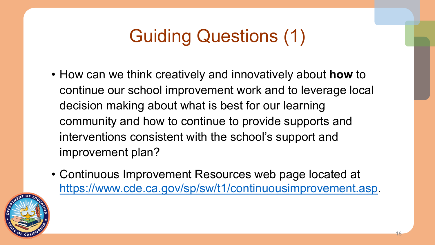## Guiding Questions (1)

- How can we think creatively and innovatively about **how** to continue our school improvement work and to leverage local decision making about what is best for our learning community and how to continue to provide supports and interventions consistent with the school's support and improvement plan?
- Continuous Improvement Resources web page located at <https://www.cde.ca.gov/sp/sw/t1/continuousimprovement.asp>.

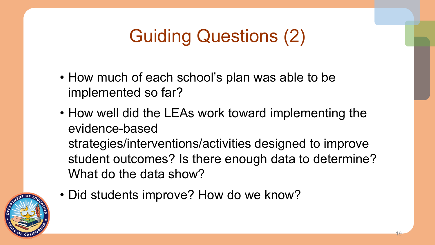## Guiding Questions (2)

- How much of each school's plan was able to be implemented so far?
- How well did the LEAs work toward implementing the evidence-based strategies/interventions/activities designed to improve student outcomes? Is there enough data to determine? What do the data show?



• Did students improve? How do we know?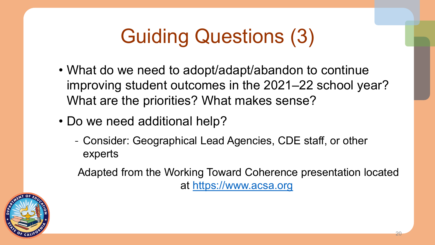# Guiding Questions (3)

- What do we need to adopt/adapt/abandon to continue improving student outcomes in the 2021–22 school year? What are the priorities? What makes sense?
- Do we need additional help?
	- Consider: Geographical Lead Agencies, CDE staff, or other experts

Adapted from the Working Toward Coherence presentation located at [https://www.acsa.org](https://www.acsa.org/)

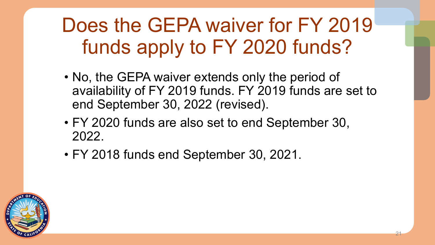# Does the GEPA waiver for FY 2019 funds apply to FY 2020 funds?

• No, the GEPA waiver extends only the period of availability of FY 2019 funds. FY 2019 funds are set to end September 30, 2022 (revised).

- FY 2020 funds are also set to end September 30, 2022.
- FY 2018 funds end September 30, 2021.

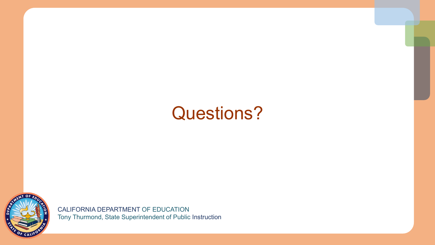### Questions?



CALIFORNIA DEPARTMENT OF EDUCATION Tony Thurmond, State Superintendent of Public Instruction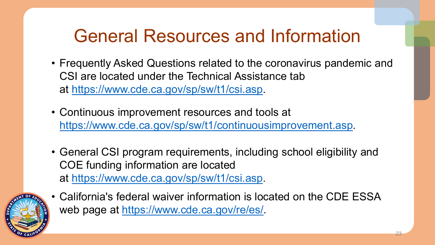### General Resources and Information

- Frequently Asked Questions related to the coronavirus pandemic and CSI are located under the Technical Assistance tab at <https://www.cde.ca.gov/sp/sw/t1/csi.asp>.
- Continuous improvement resources and tools at [https://www.cde.ca.gov/sp/sw/t1/continuousimprovement.asp.](https://www.cde.ca.gov/sp/sw/t1/continuousimprovement.asp)
- General CSI program requirements, including school eligibility and COE funding information are located at <https://www.cde.ca.gov/sp/sw/t1/csi.asp>.



• California's federal waiver information is located on the CDE ESSA web page at [https://www.cde.ca.gov/re/es/.](https://www.cde.ca.gov/re/es/)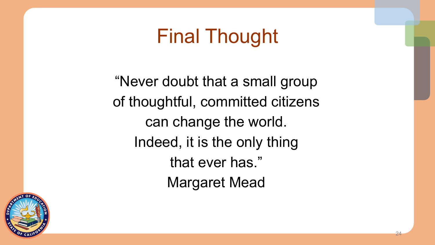## Final Thought

"Never doubt that a small group of thoughtful, committed citizens can change the world. Indeed, it is the only thing that ever has." Margaret Mead

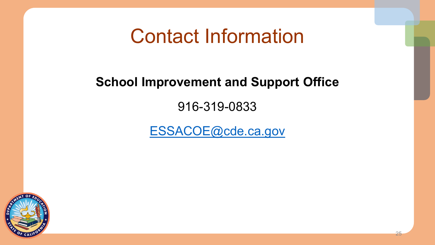### Contact Information

#### **School Improvement and Support Office**

916-319-0833

[ESSACOE@cde.ca.gov](mailto:ESSACOE@cde.ca.gov)